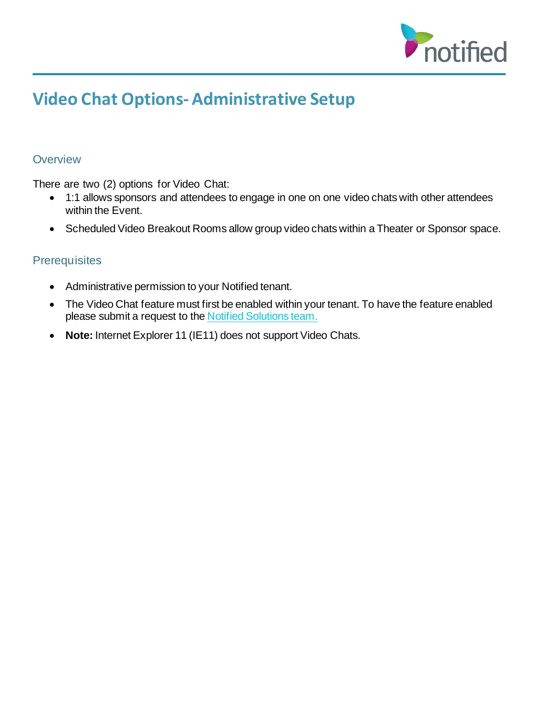

# **Video Chat Options- Administrative Setup**

# **Overview**

There are two (2) options for Video Chat:

- 1:1 allows sponsors and attendees to engage in one on one video chats with other attendees within the Event.
- Scheduled Video Breakout Rooms allow group video chats within a Theater or Sponsor space.

# **Prerequisites**

- Administrative permission to your Notified tenant.
- The Video Chat feature must first be enabled within your tenant. To have the feature enabled please submit a request to the Notified [Solutions team.](https://inxpo.zendesk.com/hc/en-us/requests/new)
- **Note:** Internet Explorer 11 (IE11) does not support Video Chats.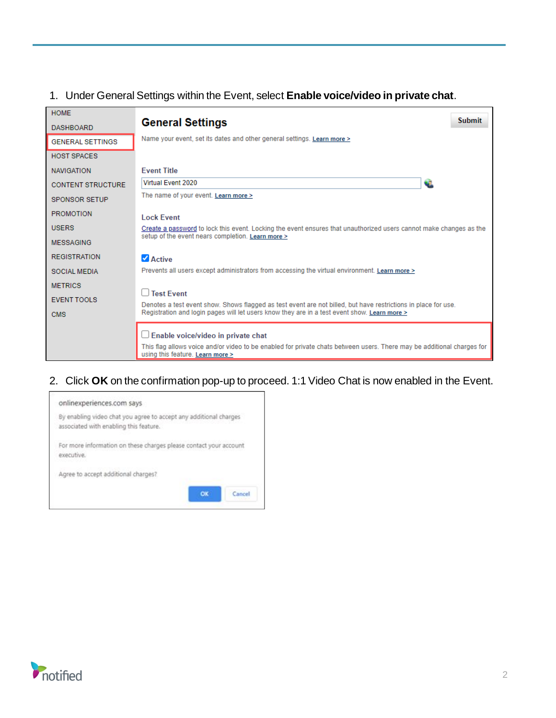# 1. Under General Settings within the Event, select **Enable voice/video in private chat**.

| <b>HOME</b>              |                                                                                                                                                                                                    |
|--------------------------|----------------------------------------------------------------------------------------------------------------------------------------------------------------------------------------------------|
| <b>DASHBOARD</b>         | <b>Submit</b><br><b>General Settings</b>                                                                                                                                                           |
| <b>GENERAL SETTINGS</b>  | Name your event, set its dates and other general settings. Learn more >                                                                                                                            |
| <b>HOST SPACES</b>       |                                                                                                                                                                                                    |
| <b>NAVIGATION</b>        | <b>Fvent Title</b>                                                                                                                                                                                 |
| <b>CONTENT STRUCTURE</b> | Virtual Event 2020<br>Œ                                                                                                                                                                            |
| <b>SPONSOR SETUP</b>     | The name of your event. Learn more >                                                                                                                                                               |
| <b>PROMOTION</b>         | <b>Lock Event</b>                                                                                                                                                                                  |
| <b>USERS</b>             | Create a password to lock this event. Locking the event ensures that unauthorized users cannot make changes as the                                                                                 |
| <b>MESSAGING</b>         | setup of the event nears completion. Learn more >                                                                                                                                                  |
| <b>REGISTRATION</b>      | $\blacksquare$ Active                                                                                                                                                                              |
| <b>SOCIAL MEDIA</b>      | Prevents all users except administrators from accessing the virtual environment. Learn more >                                                                                                      |
| <b>METRICS</b>           |                                                                                                                                                                                                    |
| <b>EVENT TOOLS</b>       | <b>Test Fvent</b><br>Denotes a test event show. Shows flagged as test event are not billed, but have restrictions in place for use.                                                                |
| <b>CMS</b>               | Registration and login pages will let users know they are in a test event show. Learn more >                                                                                                       |
|                          | □ Enable voice/video in private chat<br>This flag allows voice and/or video to be enabled for private chats between users. There may be additional charges for<br>using this feature. Learn more > |

### 2. Click **OK** on the confirmation pop-up to proceed. 1:1 Video Chat is now enabled in the Event.



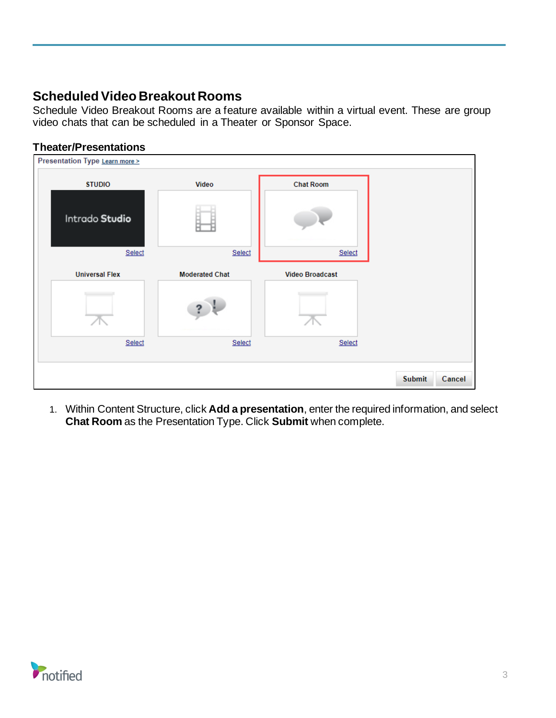# **Scheduled Video Breakout Rooms**

Schedule Video Breakout Rooms are a feature available within a virtual event. These are group video chats that can be scheduled in a Theater or Sponsor Space.

# **Theater/Presentations**

| Presentation Type Learn more > |                       |                        |                         |
|--------------------------------|-----------------------|------------------------|-------------------------|
| <b>STUDIO</b>                  | Video                 | <b>Chat Room</b>       |                         |
| Intrado Studio                 |                       |                        |                         |
| Select                         | Select                | Select                 |                         |
| <b>Universal Flex</b>          | <b>Moderated Chat</b> | <b>Video Broadcast</b> |                         |
| Select                         | Select                | Select                 |                         |
|                                |                       |                        | <b>Submit</b><br>Cancel |

1. Within Content Structure, click **Add a presentation**, enter the required information, and select **Chat Room** as the Presentation Type. Click **Submit** when complete.

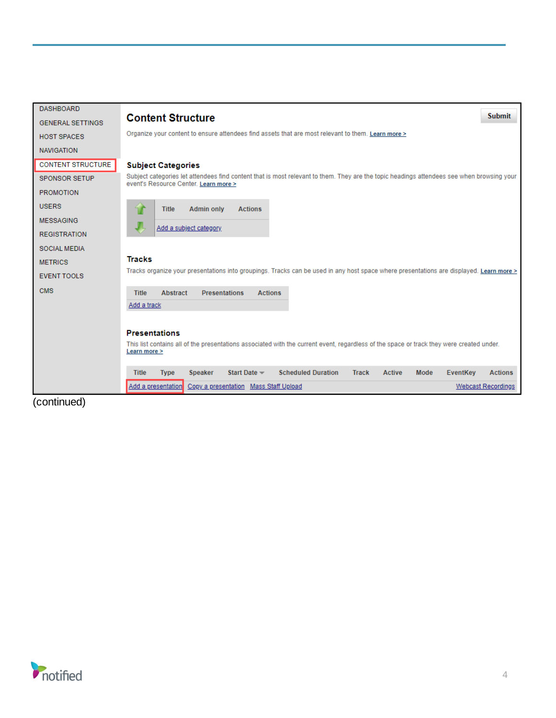| <b>DASHBOARD</b>         | <b>Submit</b>                                                                                                                                                                      |
|--------------------------|------------------------------------------------------------------------------------------------------------------------------------------------------------------------------------|
| <b>GENERAL SETTINGS</b>  | <b>Content Structure</b>                                                                                                                                                           |
| <b>HOST SPACES</b>       | Organize your content to ensure attendees find assets that are most relevant to them. Learn more >                                                                                 |
| <b>NAVIGATION</b>        |                                                                                                                                                                                    |
| <b>CONTENT STRUCTURE</b> | <b>Subject Categories</b>                                                                                                                                                          |
| <b>SPONSOR SETUP</b>     | Subject categories let attendees find content that is most relevant to them. They are the topic headings attendees see when browsing your<br>event's Resource Center. Learn more > |
| <b>PROMOTION</b>         |                                                                                                                                                                                    |
| <b>USERS</b>             | <b>Admin only</b><br><b>Title</b><br><b>Actions</b>                                                                                                                                |
| <b>MESSAGING</b>         |                                                                                                                                                                                    |
| <b>REGISTRATION</b>      | Add a subject category                                                                                                                                                             |
| <b>SOCIAL MEDIA</b>      |                                                                                                                                                                                    |
| <b>METRICS</b>           | <b>Tracks</b>                                                                                                                                                                      |
| <b>EVENT TOOLS</b>       | Tracks organize your presentations into groupings. Tracks can be used in any host space where presentations are displayed. Learn more >                                            |
| <b>CMS</b>               | <b>Presentations</b><br>Abstract<br><b>Actions</b><br><b>Title</b>                                                                                                                 |
|                          | Add a track                                                                                                                                                                        |
|                          |                                                                                                                                                                                    |
|                          | <b>Presentations</b>                                                                                                                                                               |
|                          | This list contains all of the presentations associated with the current event, regardless of the space or track they were created under.<br>Learn more >                           |
|                          |                                                                                                                                                                                    |
|                          | <b>Scheduled Duration</b><br>Start Date -<br><b>Actions</b><br><b>Title</b><br><b>Speaker</b><br><b>Track</b><br><b>Active</b><br>Mode<br><b>EventKey</b><br><b>Type</b>           |
|                          | Add a presentation<br>Copy a presentation Mass Staff Upload<br><b>Webcast Recordings</b>                                                                                           |

(continued)

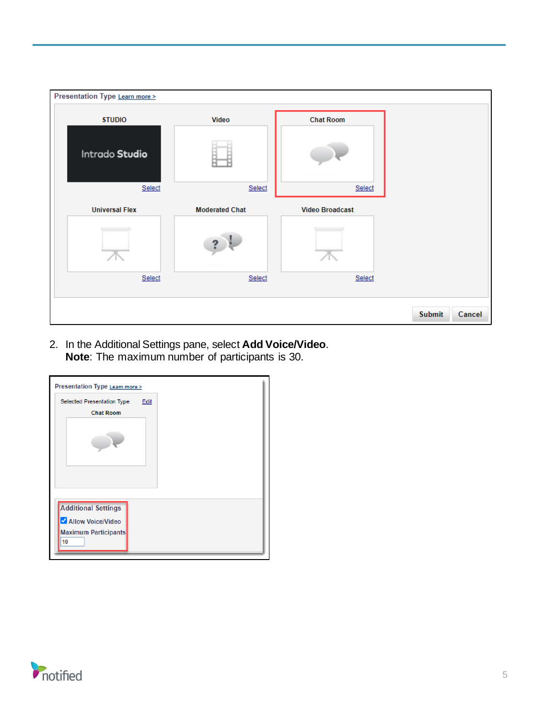| Presentation Type Learn more > |                       |                        |                         |
|--------------------------------|-----------------------|------------------------|-------------------------|
| <b>STUDIO</b>                  | Video                 | <b>Chat Room</b>       |                         |
| Intrado Studio<br>Select       | Select                | Select                 |                         |
| <b>Universal Flex</b>          | <b>Moderated Chat</b> | <b>Video Broadcast</b> |                         |
|                                |                       |                        |                         |
| Select                         | Select                | Select                 |                         |
|                                |                       |                        | <b>Submit</b><br>Cancel |

2. In the Additional Settings pane, select **Add Voice/Video**. **Note**: The maximum number of participants is 30.



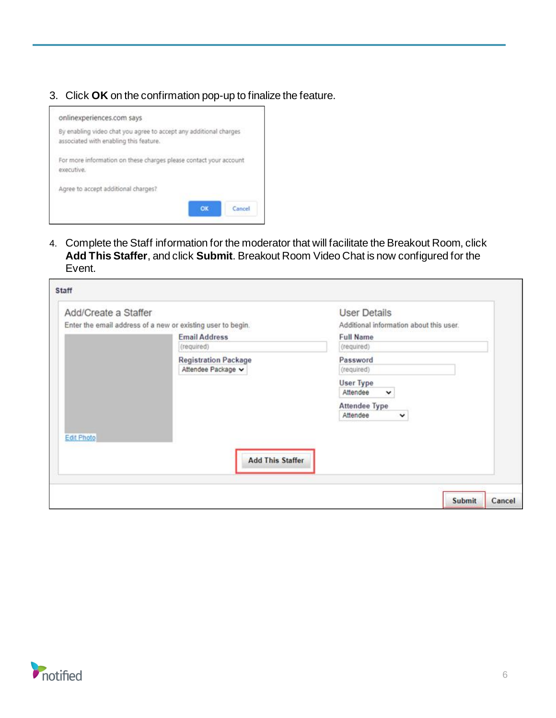3. Click **OK** on the confirmation pop-up to finalize the feature.



4. Complete the Staff information for the moderator that will facilitate the Breakout Room, click **Add This Staffer**, and click **Submit**. Breakout Room Video Chat is now configured for the Event.

| Add/Create a Staffer               | Enter the email address of a new or existing user to begin. | <b>User Details</b><br>Additional information about this user. |
|------------------------------------|-------------------------------------------------------------|----------------------------------------------------------------|
| <b>Email Address</b><br>(required) |                                                             | <b>Full Name</b><br>(required)                                 |
|                                    | <b>Registration Package</b><br>Attendee Package v           | Password<br>(required)                                         |
|                                    |                                                             | <b>User Type</b><br>Attendee<br>$\check{~}$                    |
|                                    |                                                             | <b>Attendee Type</b><br>Attendee<br>$\check{ }$                |
| <b>Edit Photo</b>                  |                                                             |                                                                |
|                                    | <b>Add This Staffer</b>                                     |                                                                |
|                                    |                                                             |                                                                |

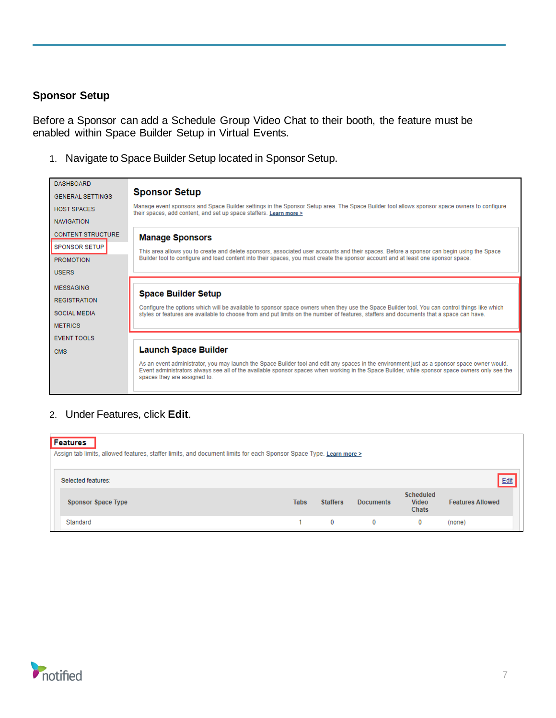#### **Sponsor Setup**

Before a Sponsor can add a Schedule Group Video Chat to their booth, the feature must be enabled within Space Builder Setup in Virtual Events.

1. Navigate to Space Builder Setup located in Sponsor Setup.

| <b>DASHBOARD</b>         |                                                                                                                                                                                                                                                                                                                                |
|--------------------------|--------------------------------------------------------------------------------------------------------------------------------------------------------------------------------------------------------------------------------------------------------------------------------------------------------------------------------|
| <b>GENERAL SETTINGS</b>  | <b>Sponsor Setup</b>                                                                                                                                                                                                                                                                                                           |
| <b>HOST SPACES</b>       | Manage event sponsors and Space Builder settings in the Sponsor Setup area. The Space Builder tool allows sponsor space owners to configure<br>their spaces, add content, and set up space staffers. Learn more >                                                                                                              |
| <b>NAVIGATION</b>        |                                                                                                                                                                                                                                                                                                                                |
| <b>CONTENT STRUCTURE</b> | <b>Manage Sponsors</b>                                                                                                                                                                                                                                                                                                         |
| <b>SPONSOR SETUP</b>     | This area allows you to create and delete sponsors, associated user accounts and their spaces. Before a sponsor can begin using the Space                                                                                                                                                                                      |
| <b>PROMOTION</b>         | Builder tool to configure and load content into their spaces, you must create the sponsor account and at least one sponsor space.                                                                                                                                                                                              |
| <b>USERS</b>             |                                                                                                                                                                                                                                                                                                                                |
| <b>MESSAGING</b>         |                                                                                                                                                                                                                                                                                                                                |
| <b>REGISTRATION</b>      | <b>Space Builder Setup</b>                                                                                                                                                                                                                                                                                                     |
| <b>SOCIAL MEDIA</b>      | Configure the options which will be available to sponsor space owners when they use the Space Builder tool. You can control things like which<br>styles or features are available to choose from and put limits on the number of features, staffers and documents that a space can have.                                       |
| <b>METRICS</b>           |                                                                                                                                                                                                                                                                                                                                |
| EVENT TOOLS              |                                                                                                                                                                                                                                                                                                                                |
| <b>CMS</b>               | <b>Launch Space Builder</b>                                                                                                                                                                                                                                                                                                    |
|                          | As an event administrator, you may launch the Space Builder tool and edit any spaces in the environment just as a sponsor space owner would.<br>Event administrators always see all of the available sponsor spaces when working in the Space Builder, while sponsor space owners only see the<br>spaces they are assigned to. |

# 2. Under Features, click **Edit**.

| Features<br>Assign tab limits, allowed features, staffer limits, and document limits for each Sponsor Space Type. Learn more > |             |                 |                  |                                           |                         |  |
|--------------------------------------------------------------------------------------------------------------------------------|-------------|-----------------|------------------|-------------------------------------------|-------------------------|--|
| Selected features:                                                                                                             |             |                 |                  |                                           | $Edit$                  |  |
| <b>Sponsor Space Type</b>                                                                                                      | <b>Tabs</b> | <b>Staffers</b> | <b>Documents</b> | <b>Scheduled</b><br><b>Video</b><br>Chats | <b>Features Allowed</b> |  |
| Standard                                                                                                                       |             | 0               | 0                | $\bf{0}$                                  | (none)                  |  |

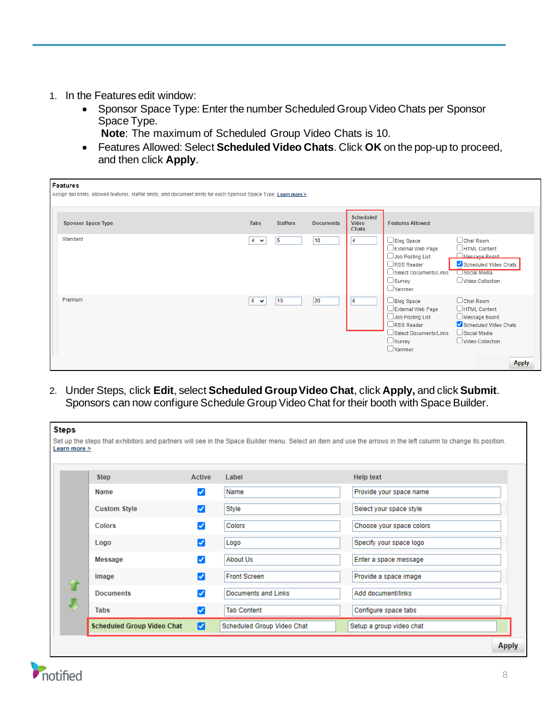- 1. In the Features edit window:
	- Sponsor Space Type: Enter the number Scheduled Group Video Chats per Sponsor Space Type.

**Note**: The maximum of Scheduled Group Video Chats is 10.

• Features Allowed: Select **Scheduled Video Chats**. Click **OK** on the pop-up to proceed, and then click **Apply**.

| Features<br>Assign tab limits, allowed features, staffer limits, and document limits for each Sponsor Space Type. Learn more > |             |                 |                  |                                    |                                                                                                                                                                                                                                                                               |
|--------------------------------------------------------------------------------------------------------------------------------|-------------|-----------------|------------------|------------------------------------|-------------------------------------------------------------------------------------------------------------------------------------------------------------------------------------------------------------------------------------------------------------------------------|
| <b>Sponsor Space Type</b>                                                                                                      | <b>Tabs</b> | <b>Staffers</b> | <b>Documents</b> | Scheduled<br>Video<br><b>Chats</b> | <b>Features Allowed</b>                                                                                                                                                                                                                                                       |
| Standard                                                                                                                       | $4 \times$  | 15              | 10               | 14                                 | $\Box$ Chat Room<br>$\Box$ Blog Space<br>□ External Web Page<br>HTML Content<br>Messane Roard<br>JJob Posting List<br>Scheduled Video Chats<br>$\Box$ RSS Reader<br>Social Media<br>Select Documents/Links<br>Video Collection<br>$\Box$ Survey<br>$\Box$ Yammer              |
| Premium                                                                                                                        | $8 \times$  | 10              | 20               | 6                                  | $\Box$ Chat Room<br>$\Box$ Blog Space<br>External Web Page<br>HTML Content<br>Job Posting List<br>Message Board<br>Scheduled Video Chats<br>$\Box$ RSS Reader<br>Select Documents/Links<br>Social Media<br>Video Collection<br>$\Box$ Survey<br>$\Box$ Yammer<br><b>Apply</b> |

2. Under Steps, click **Edit**, select **Scheduled Group Video Chat**, click **Apply,** and click **Submit**. Sponsors can now configure Schedule Group Video Chat for their booth with Space Builder.

| <b>Steps</b><br>Learn more > |                                   |                            |                            | Set up the steps that exhibitors and partners will see in the Space Builder menu. Select an item and use the arrows in the left column to change its position. |
|------------------------------|-----------------------------------|----------------------------|----------------------------|----------------------------------------------------------------------------------------------------------------------------------------------------------------|
|                              |                                   |                            |                            |                                                                                                                                                                |
|                              | <b>Step</b>                       | Active                     | Label                      | <b>Help text</b>                                                                                                                                               |
|                              | Name                              | $\blacktriangledown$       | Name                       | Provide your space name                                                                                                                                        |
|                              | <b>Custom Style</b>               | ☑                          | Style                      | Select your space style                                                                                                                                        |
|                              | <b>Colors</b>                     | ✓                          | Colors                     | Choose your space colors                                                                                                                                       |
|                              | Logo                              | ◡                          | Logo                       | Specify your space logo                                                                                                                                        |
|                              | Message                           | $\boldsymbol{\mathcal{S}}$ | About Us                   | Enter a space message                                                                                                                                          |
| $\mathbf{u}$                 | Image                             | M                          | <b>Front Screen</b>        | Provide a space image                                                                                                                                          |
|                              | <b>Documents</b>                  | ✓                          | <b>Documents and Links</b> | Add document/links                                                                                                                                             |
| ┸                            | <b>Tabs</b>                       | ☑                          | <b>Tab Content</b>         | Configure space tabs                                                                                                                                           |
|                              | <b>Scheduled Group Video Chat</b> | ø                          | Scheduled Group Video Chat | Setup a group video chat                                                                                                                                       |
|                              |                                   |                            |                            | <b>Apply</b>                                                                                                                                                   |

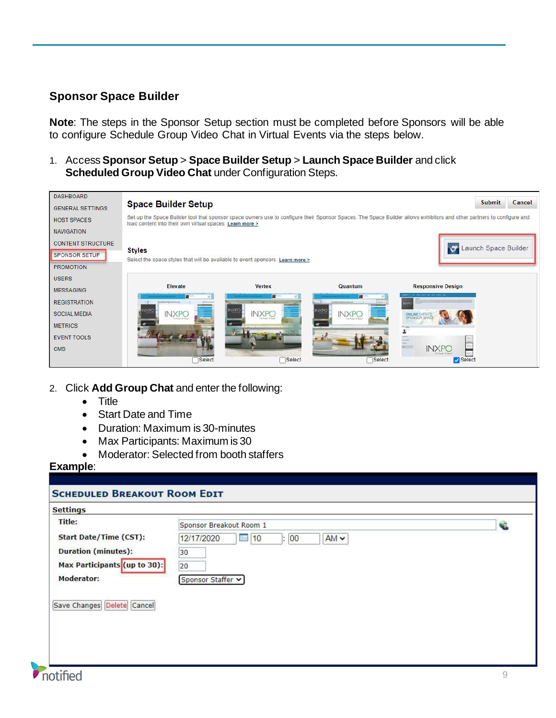# **Sponsor Space Builder**

**Note**: The steps in the Sponsor Setup section must be completed before Sponsors will be able to configure Schedule Group Video Chat in Virtual Events via the steps below.

1. Access **Sponsor Setup** > **Space Builder Setup** > **Launch Space Builder** and click **Scheduled Group Video Chat** under Configuration Steps.

| <b>DASHBOARD</b><br><b>GENERAL SETTINGS</b> | <b>Space Builder Setup</b>                                                                                                                                                                                                         |                              |                                          |                          | <b>Submit</b>        | Cancel |
|---------------------------------------------|------------------------------------------------------------------------------------------------------------------------------------------------------------------------------------------------------------------------------------|------------------------------|------------------------------------------|--------------------------|----------------------|--------|
| <b>HOST SPACES</b>                          | Set up the Space Builder tool that sponsor space owners use to configure their Sponsor Spaces. The Space Builder allows exhibitors and other partners to configure and<br>load content into their own virtual spaces. Learn more > |                              |                                          |                          |                      |        |
| <b>NAVIGATION</b>                           |                                                                                                                                                                                                                                    |                              |                                          |                          |                      |        |
| <b>CONTENT STRUCTURE</b>                    |                                                                                                                                                                                                                                    |                              |                                          |                          | Launch Space Builder |        |
| SPONSOR SETUP                               | <b>Styles</b><br>Select the space styles that will be available to event sponsors. Learn more >                                                                                                                                    |                              |                                          |                          |                      |        |
| <b>PROMOTION</b>                            |                                                                                                                                                                                                                                    |                              |                                          |                          |                      |        |
| <b>USERS</b>                                |                                                                                                                                                                                                                                    |                              |                                          |                          |                      |        |
| <b>MESSAGING</b>                            | Elevate<br>п                                                                                                                                                                                                                       | <b>Vertex</b><br><b>FLE</b>  | Quantum<br>п                             | <b>Responsive Design</b> |                      |        |
| <b>REGISTRATION</b>                         |                                                                                                                                                                                                                                    |                              |                                          |                          |                      |        |
| SOCIAL MEDIA                                | <b>INXPO</b>                                                                                                                                                                                                                       | <b>VIXFI</b><br><b>INXPO</b> | VXP<br><b>INXPO</b><br>This Rowsell, The | ONLINEE                  |                      |        |
| <b>METRICS</b>                              |                                                                                                                                                                                                                                    |                              |                                          |                          |                      |        |
| <b>EVENT TOOLS</b>                          |                                                                                                                                                                                                                                    |                              |                                          |                          |                      |        |
| <b>CMS</b>                                  |                                                                                                                                                                                                                                    |                              |                                          | <b>INXPO</b>             |                      |        |
|                                             | Select                                                                                                                                                                                                                             | Select                       | Select                                   | Select                   |                      |        |

- 2. Click **Add Group Chat** and enter the following:
	- Title
	- Start Date and Time
	- Duration: Maximum is 30-minutes
	- Max Participants: Maximum is 30
	- Moderator: Selected from booth staffers

#### **Example**:

| <b>Settings</b>                                                                                                     |                                                                                                                 |   |
|---------------------------------------------------------------------------------------------------------------------|-----------------------------------------------------------------------------------------------------------------|---|
| Title:<br><b>Start Date/Time (CST):</b><br><b>Duration (minutes):</b><br>Max Participants (up to 30):<br>Moderator: | Sponsor Breakout Room 1<br>$AM \sim$<br>12/17/2020<br>10<br>$\vert$ : 00<br>E.<br>30<br>20<br>Sponsor Staffer v | Œ |
| Save Changes Delete Cancel                                                                                          |                                                                                                                 |   |
|                                                                                                                     |                                                                                                                 |   |
|                                                                                                                     |                                                                                                                 |   |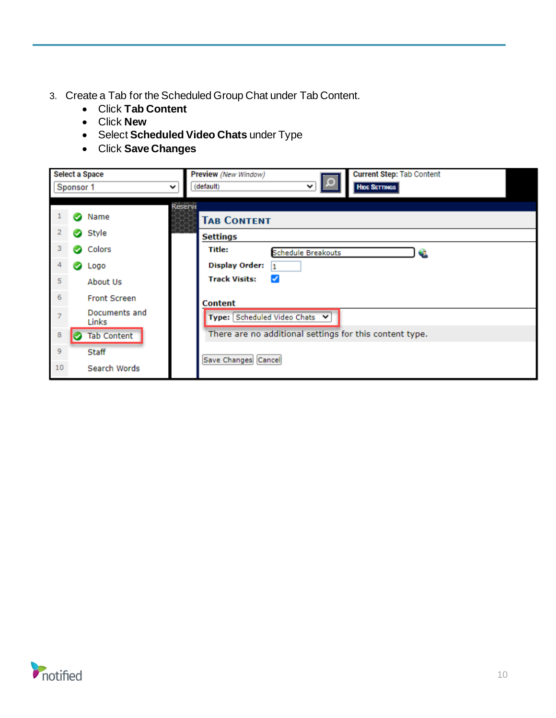- 3. Create a Tab for the Scheduled Group Chat under Tab Content.
	- Click **Tab Content**
	- Click **New**
	- Select **Scheduled Video Chats** under Type
	- Click **Save Changes**

|                | Sponsor 1      | <b>Select a Space</b><br>◡                    | <b>Current Step: Tab Content</b><br>Preview (New Window)<br>◡<br>(default)<br><b>HIDE SETTINGS</b> |  |
|----------------|----------------|-----------------------------------------------|----------------------------------------------------------------------------------------------------|--|
| 2              |                | Name<br>Style                                 | Reserve<br><b>TAB CONTENT</b>                                                                      |  |
| 3<br>4         | $\bullet$<br>Ø | Colors                                        | Settings<br>Title:<br><b>Schedule Breakouts</b><br><b>Display Order:</b>                           |  |
| 5 <sup>7</sup> |                | Logo<br>About Us                              | $\mathbf{1}$<br>$\blacktriangleright$<br><b>Track Visits:</b>                                      |  |
| $\overline{6}$ |                | <b>Front Screen</b><br>Documents and<br>Links | Content<br>Type: Scheduled Video Chats V                                                           |  |
| 8              |                | <b>Tab Content</b>                            | There are no additional settings for this content type.                                            |  |
| 9<br>10        |                | Staff<br>Search Words                         | Save Changes Cancel                                                                                |  |

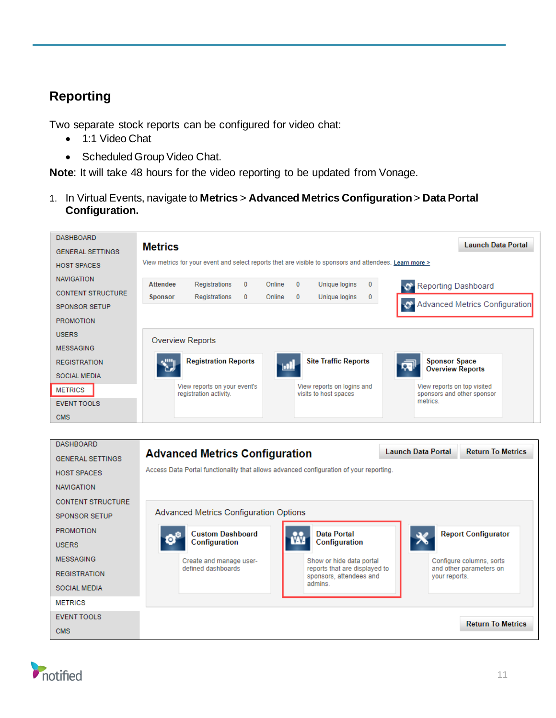# **Reporting**

Two separate stock reports can be configured for video chat:

- 1:1 Video Chat
- Scheduled Group Video Chat.

**Note**: It will take 48 hours for the video reporting to be updated from Vonage.

1. In Virtual Events, navigate to **Metrics** > **Advanced Metrics Configuration**> **Data Portal Configuration.**



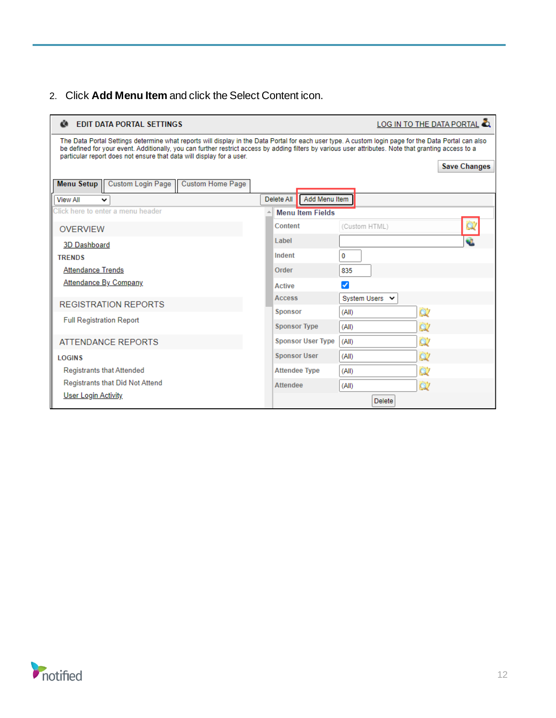# 2. Click **Add Menu Item** and click the Select Content icon.

| Μ<br>LOG IN TO THE DATA PORTAL<br><b>EDIT DATA PORTAL SETTINGS</b>                                                                                                                                                                                                                                                                                                                    |                      |                          |                |                     |  |
|---------------------------------------------------------------------------------------------------------------------------------------------------------------------------------------------------------------------------------------------------------------------------------------------------------------------------------------------------------------------------------------|----------------------|--------------------------|----------------|---------------------|--|
| The Data Portal Settings determine what reports will display in the Data Portal for each user type. A custom login page for the Data Portal can also<br>be defined for your event. Additionally, you can further restrict access by adding filters by various user attributes. Note that granting access to a<br>particular report does not ensure that data will display for a user. |                      |                          |                | <b>Save Changes</b> |  |
| <b>Custom Login Page</b><br><b>Custom Home Page</b><br><b>Menu Setup</b>                                                                                                                                                                                                                                                                                                              |                      |                          |                |                     |  |
| <b>View All</b>                                                                                                                                                                                                                                                                                                                                                                       | Delete All           | Add Menu Item            |                |                     |  |
| Click here to enter a menu header                                                                                                                                                                                                                                                                                                                                                     |                      | <b>Menu Item Fields</b>  |                |                     |  |
| <b>OVERVIEW</b>                                                                                                                                                                                                                                                                                                                                                                       | Content              |                          | (Custom HTML)  |                     |  |
| 3D Dashboard                                                                                                                                                                                                                                                                                                                                                                          | Label                |                          |                |                     |  |
| <b>TRENDS</b>                                                                                                                                                                                                                                                                                                                                                                         | Indent               |                          | 0              |                     |  |
| <b>Attendance Trends</b>                                                                                                                                                                                                                                                                                                                                                              | Order                |                          | 835            |                     |  |
| <b>Attendance By Company</b>                                                                                                                                                                                                                                                                                                                                                          | <b>Active</b>        |                          | ✓              |                     |  |
| <b>REGISTRATION REPORTS</b>                                                                                                                                                                                                                                                                                                                                                           | <b>Access</b>        |                          | System Users V |                     |  |
|                                                                                                                                                                                                                                                                                                                                                                                       | <b>Sponsor</b>       |                          | (All)          | Q.                  |  |
| <b>Full Registration Report</b>                                                                                                                                                                                                                                                                                                                                                       | <b>Sponsor Type</b>  |                          | (AII)          | Ò.                  |  |
| <b>ATTENDANCE REPORTS</b>                                                                                                                                                                                                                                                                                                                                                             |                      | <b>Sponsor User Type</b> | (AII)          | QZ                  |  |
| <b>LOGINS</b>                                                                                                                                                                                                                                                                                                                                                                         | <b>Sponsor User</b>  |                          | (AII)          | Ò.                  |  |
| <b>Registrants that Attended</b>                                                                                                                                                                                                                                                                                                                                                      | <b>Attendee Type</b> |                          | (AII)          | QŻ                  |  |
| <b>Registrants that Did Not Attend</b>                                                                                                                                                                                                                                                                                                                                                | <b>Attendee</b>      |                          | (AII)          | $\alpha$            |  |
| <b>User Login Activity</b>                                                                                                                                                                                                                                                                                                                                                            |                      | <b>Delete</b>            |                |                     |  |

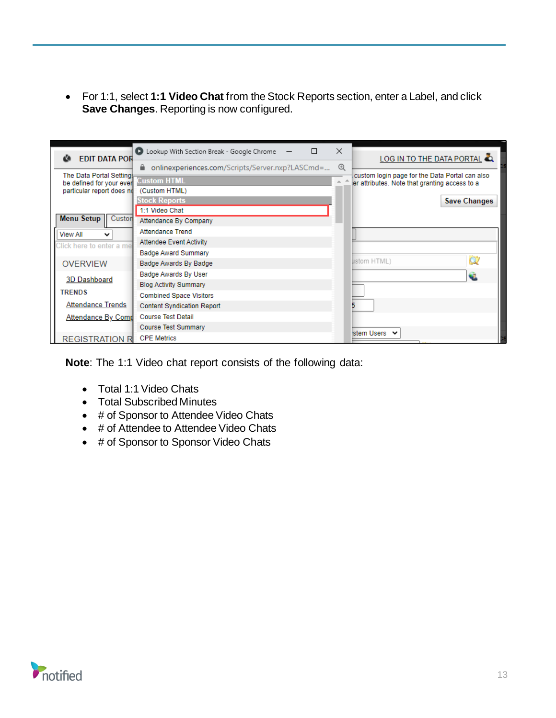• For 1:1, select **1:1 Video Chat** from the Stock Reports section, enter a Label, and click **Save Changes**. Reporting is now configured.

| <b>EDIT DATA POR</b><br>M                             | D Lookup With Section Break - Google Chrome           | $\times$       | LOG IN TO THE DATA PORTAL                      |
|-------------------------------------------------------|-------------------------------------------------------|----------------|------------------------------------------------|
|                                                       | onlinexperiences.com/Scripts/Server.nxp?LASCmd=<br>Α. | $^{\circledR}$ |                                                |
| The Data Portal Setting                               | <b>Custom HTML</b>                                    |                | custom login page for the Data Portal can also |
| be defined for your even<br>particular report does no | (Custom HTML)                                         |                | ler attributes. Note that granting access to a |
|                                                       | <b>Stock Reports</b>                                  |                | <b>Save Changes</b>                            |
|                                                       | 1:1 Video Chat                                        |                |                                                |
| <b>Menu Setup</b><br>Custon                           | Attendance By Company                                 |                |                                                |
| <b>View All</b><br>$\checkmark$                       | <b>Attendance Trend</b>                               |                |                                                |
| Click here to enter a me                              | <b>Attendee Event Activity</b>                        |                |                                                |
|                                                       | <b>Badge Award Summary</b>                            |                |                                                |
| <b>OVERVIEW</b>                                       | Badge Awards By Badge                                 |                | ustom HTML)                                    |
| 3D Dashboard                                          | Badge Awards By User                                  |                |                                                |
|                                                       | <b>Blog Activity Summary</b>                          |                |                                                |
| <b>TRENDS</b>                                         | <b>Combined Space Visitors</b>                        |                |                                                |
| <b>Attendance Trends</b>                              | <b>Content Syndication Report</b>                     |                |                                                |
| <b>Attendance By Comp</b>                             | <b>Course Test Detail</b>                             |                |                                                |
|                                                       | <b>Course Test Summary</b>                            |                |                                                |
| <b>REGISTRATION R</b>                                 | <b>CPE Metrics</b>                                    |                | stem Users V                                   |

**Note**: The 1:1 Video chat report consists of the following data:

- Total 1:1 Video Chats
- Total Subscribed Minutes
- # of Sponsor to Attendee Video Chats
- # of Attendee to Attendee Video Chats
- # of Sponsor to Sponsor Video Chats